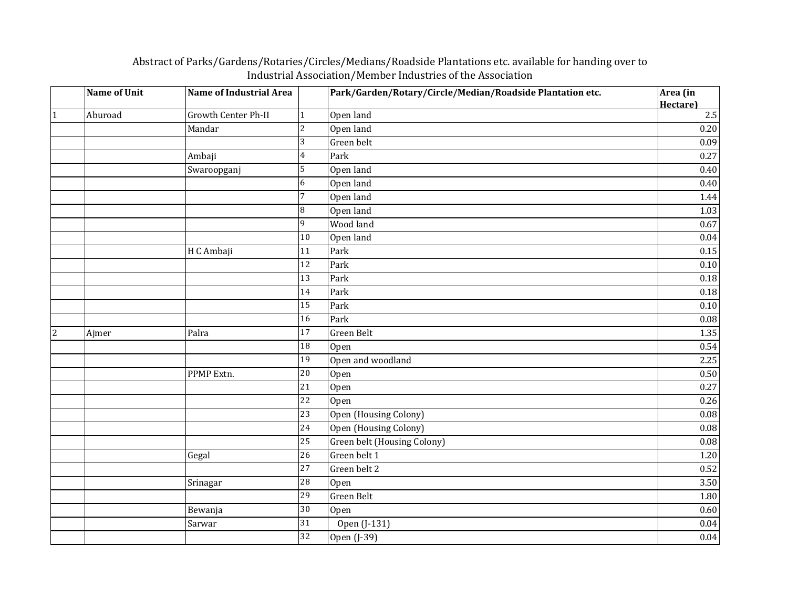## **Name of Unit Name of Industrial Area Park/Garden/Rotary/Circle/Median/Roadside Plantation etc. Area (in Area Area Area Roadside Plantation etc. Hectare)** 1 Aburoad Growth Center Ph-II 1 Open land 2.5 Mandar 2 Open land 0.20 3 Green belt 2009 0.09 Ambaji 4 Park 0.27 Swaroopganj 5 | Open land 1992 | 0.40 6 Open land 0.40 7 Open land 1.44 8 Open land 1.03  $9$  Wood land  $0.67$ 10 Open land 0.04 H C Ambaji 11 Park 0.15  $12$  Park 0.10  $\vert$  Park  $\vert$  0.18 14 Park 0.18  $15$  Park 0.10 16 Park 0.08 2 Ajmer Palra 17 Green Belt 1.35  $18$  Open 0.54 19 Open and woodland 2.25 PPMP Extn.  $20 \t|open$   $0.50$ 21 | Open  $\vert$  0.27 22 Open  $0.26$ 23 Open (Housing Colony) 0.08 24 Open (Housing Colony) 0.08 25 Green belt (Housing Colony) 0.08 Gegal  $26$  Green belt 1  $1.20$ 27 Green belt 2 0.52 Srinagar 28 Open 3.50 29 Green Belt 1.80 Bewanja 30 Open 0.60 Sarwar 31 | Open (J-131) 0.04  $32 \quad$  Open (J-39) 0.04

## Abstract of Parks/Gardens/Rotaries/Circles/Medians/Roadside Plantations etc. available for handing over to Industrial Association/Member Industries of the Association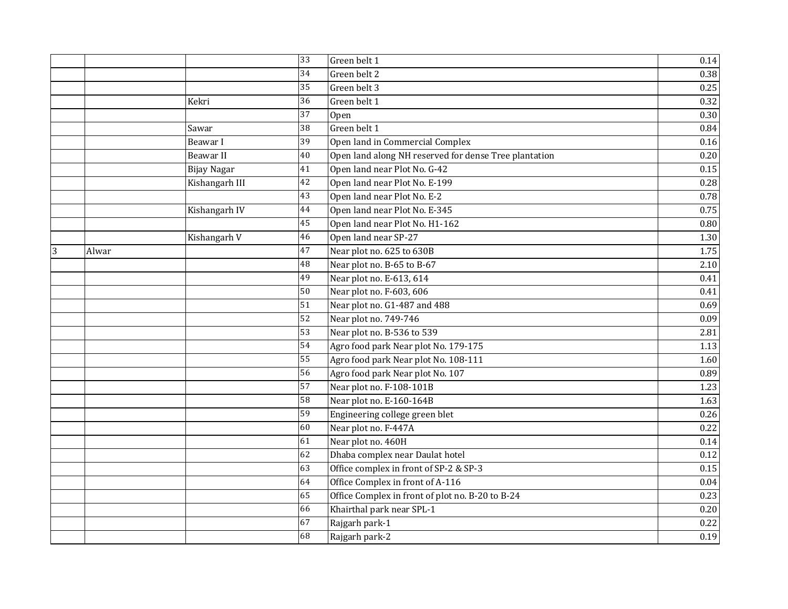|   |       |                    | 33              | Green belt 1                                          | 0.14 |
|---|-------|--------------------|-----------------|-------------------------------------------------------|------|
|   |       |                    | 34              | Green belt 2                                          | 0.38 |
|   |       |                    | 35              | Green belt 3                                          | 0.25 |
|   |       | Kekri              | 36              | Green belt 1                                          | 0.32 |
|   |       |                    | 37              | Open                                                  | 0.30 |
|   |       | Sawar              | 38              | Green belt 1                                          | 0.84 |
|   |       | Beawar I           | 39              | Open land in Commercial Complex                       | 0.16 |
|   |       | Beawar II          | 40              | Open land along NH reserved for dense Tree plantation | 0.20 |
|   |       | <b>Bijay Nagar</b> | 41              | Open land near Plot No. G-42                          | 0.15 |
|   |       | Kishangarh III     | 42              | Open land near Plot No. E-199                         | 0.28 |
|   |       |                    | 43              | Open land near Plot No. E-2                           | 0.78 |
|   |       | Kishangarh IV      | 44              | Open land near Plot No. E-345                         | 0.75 |
|   |       |                    | 45              | Open land near Plot No. H1-162                        | 0.80 |
|   |       | Kishangarh V       | $\overline{46}$ | Open land near SP-27                                  | 1.30 |
| 3 | Alwar |                    | 47              | Near plot no. 625 to 630B                             | 1.75 |
|   |       |                    | 48              | Near plot no. B-65 to B-67                            | 2.10 |
|   |       |                    | 49              | Near plot no. E-613, 614                              | 0.41 |
|   |       |                    | 50              | Near plot no. F-603, 606                              | 0.41 |
|   |       |                    | 51              | Near plot no. G1-487 and 488                          | 0.69 |
|   |       |                    | $\overline{52}$ | Near plot no. 749-746                                 | 0.09 |
|   |       |                    | 53              | Near plot no. B-536 to 539                            | 2.81 |
|   |       |                    | 54              | Agro food park Near plot No. 179-175                  | 1.13 |
|   |       |                    | 55              | Agro food park Near plot No. 108-111                  | 1.60 |
|   |       |                    | 56              | Agro food park Near plot No. 107                      | 0.89 |
|   |       |                    | 57              | Near plot no. F-108-101B                              | 1.23 |
|   |       |                    | 58              | Near plot no. E-160-164B                              | 1.63 |
|   |       |                    | 59              | Engineering college green blet                        | 0.26 |
|   |       |                    | 60              | Near plot no. F-447A                                  | 0.22 |
|   |       |                    | 61              | Near plot no. 460H                                    | 0.14 |
|   |       |                    | 62              | Dhaba complex near Daulat hotel                       | 0.12 |
|   |       |                    | 63              | Office complex in front of SP-2 & SP-3                | 0.15 |
|   |       |                    | 64              | Office Complex in front of A-116                      | 0.04 |
|   |       |                    | 65              | Office Complex in front of plot no. B-20 to B-24      | 0.23 |
|   |       |                    | 66              | Khairthal park near SPL-1                             | 0.20 |
|   |       |                    | 67              | Rajgarh park-1                                        | 0.22 |
|   |       |                    | 68              | Rajgarh park-2                                        | 0.19 |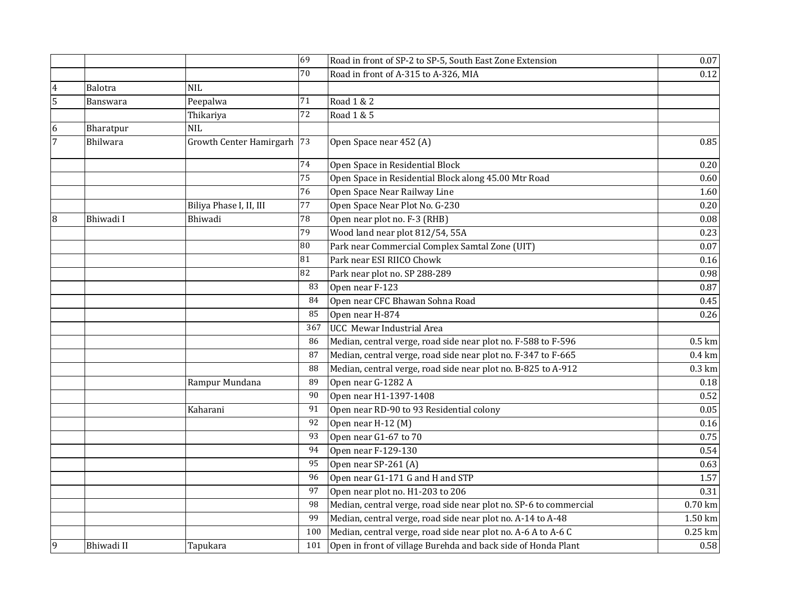|                |                 |                            | 69              | Road in front of SP-2 to SP-5, South East Zone Extension          | $0.07\,$         |
|----------------|-----------------|----------------------------|-----------------|-------------------------------------------------------------------|------------------|
|                |                 |                            | 70              | Road in front of A-315 to A-326, MIA                              | 0.12             |
| $\overline{4}$ | <b>Balotra</b>  | NIL                        |                 |                                                                   |                  |
| 5              | Banswara        | Peepalwa                   | $71\,$          | Road 1 & 2                                                        |                  |
|                |                 | Thikariya                  | $\overline{72}$ | Road 1 & 5                                                        |                  |
| 6              | Bharatpur       | <b>NIL</b>                 |                 |                                                                   |                  |
| 7              | <b>Bhilwara</b> | Growth Center Hamirgarh 73 |                 | Open Space near 452 (A)                                           | $0.85\,$         |
|                |                 |                            | 74              | Open Space in Residential Block                                   | 0.20             |
|                |                 |                            | 75              | Open Space in Residential Block along 45.00 Mtr Road              | 0.60             |
|                |                 |                            | 76              | Open Space Near Railway Line                                      | 1.60             |
|                |                 | Biliya Phase I, II, III    | 77              | Open Space Near Plot No. G-230                                    | 0.20             |
| 8              | Bhiwadi I       | Bhiwadi                    | 78              | Open near plot no. F-3 (RHB)                                      | 0.08             |
|                |                 |                            | 79              | Wood land near plot 812/54, 55A                                   | 0.23             |
|                |                 |                            | 80              | Park near Commercial Complex Samtal Zone (UIT)                    | $0.07\,$         |
|                |                 |                            | 81              | Park near ESI RIICO Chowk                                         | 0.16             |
|                |                 |                            | 82              | Park near plot no. SP 288-289                                     | 0.98             |
|                |                 |                            | 83              | Open near F-123                                                   | 0.87             |
|                |                 |                            | 84              | Open near CFC Bhawan Sohna Road                                   | 0.45             |
|                |                 |                            | 85              | Open near H-874                                                   | 0.26             |
|                |                 |                            | 367             | <b>UCC</b> Mewar Industrial Area                                  |                  |
|                |                 |                            | 86              | Median, central verge, road side near plot no. F-588 to F-596     | $0.5 \text{ km}$ |
|                |                 |                            | 87              | Median, central verge, road side near plot no. F-347 to F-665     | $0.4 \text{ km}$ |
|                |                 |                            | 88              | Median, central verge, road side near plot no. B-825 to A-912     | $0.3 \text{ km}$ |
|                |                 | Rampur Mundana             | 89              | Open near G-1282 A                                                | 0.18             |
|                |                 |                            | 90              | Open near H1-1397-1408                                            | 0.52             |
|                |                 | Kaharani                   | 91              | Open near RD-90 to 93 Residential colony                          | 0.05             |
|                |                 |                            | 92              | Open near H-12 (M)                                                | 0.16             |
|                |                 |                            | 93              | Open near G1-67 to 70                                             | 0.75             |
|                |                 |                            | 94              | Open near F-129-130                                               | 0.54             |
|                |                 |                            | 95              | Open near SP-261 (A)                                              | 0.63             |
|                |                 |                            | 96              | Open near G1-171 G and H and STP                                  | 1.57             |
|                |                 |                            | 97              | Open near plot no. H1-203 to 206                                  | 0.31             |
|                |                 |                            | 98              | Median, central verge, road side near plot no. SP-6 to commercial | 0.70 km          |
|                |                 |                            | 99              | Median, central verge, road side near plot no. A-14 to A-48       | 1.50 km          |
|                |                 |                            | 100             | Median, central verge, road side near plot no. A-6 A to A-6 C     | 0.25 km          |
| 9              | Bhiwadi II      | Tapukara                   | 101             | Open in front of village Burehda and back side of Honda Plant     | 0.58             |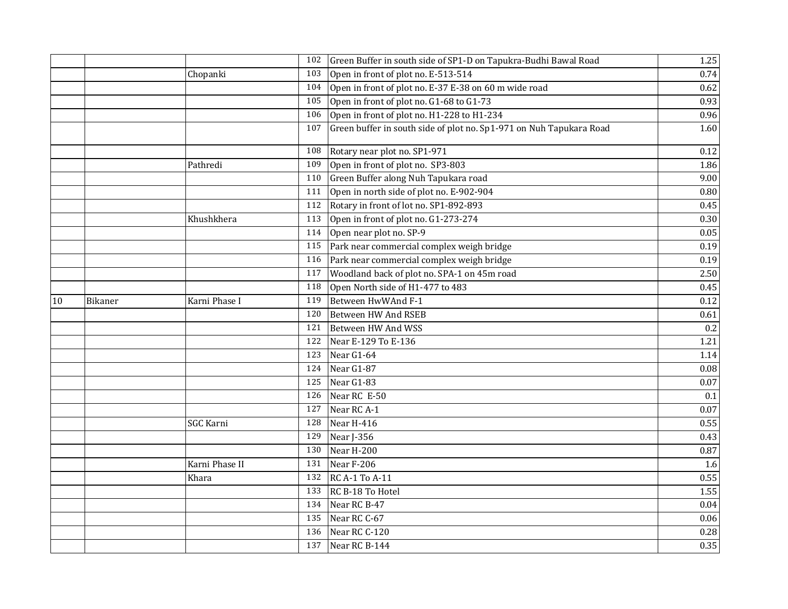|    |                |                  | 102 | Green Buffer in south side of SP1-D on Tapukra-Budhi Bawal Road     | 1.25     |
|----|----------------|------------------|-----|---------------------------------------------------------------------|----------|
|    |                | Chopanki         | 103 | Open in front of plot no. E-513-514                                 | 0.74     |
|    |                |                  | 104 | Open in front of plot no. E-37 E-38 on 60 m wide road               | 0.62     |
|    |                |                  | 105 | Open in front of plot no. G1-68 to G1-73                            | 0.93     |
|    |                |                  | 106 | Open in front of plot no. H1-228 to H1-234                          | 0.96     |
|    |                |                  | 107 | Green buffer in south side of plot no. Sp1-971 on Nuh Tapukara Road | 1.60     |
|    |                |                  | 108 | Rotary near plot no. SP1-971                                        | 0.12     |
|    |                | Pathredi         | 109 | Open in front of plot no. SP3-803                                   | 1.86     |
|    |                |                  | 110 | Green Buffer along Nuh Tapukara road                                | 9.00     |
|    |                |                  | 111 | Open in north side of plot no. E-902-904                            | 0.80     |
|    |                |                  | 112 | Rotary in front of lot no. SP1-892-893                              | 0.45     |
|    |                | Khushkhera       | 113 | Open in front of plot no. G1-273-274                                | 0.30     |
|    |                |                  | 114 | Open near plot no. SP-9                                             | 0.05     |
|    |                |                  | 115 | Park near commercial complex weigh bridge                           | 0.19     |
|    |                |                  | 116 | Park near commercial complex weigh bridge                           | 0.19     |
|    |                |                  | 117 | Woodland back of plot no. SPA-1 on 45m road                         | 2.50     |
|    |                |                  | 118 | Open North side of H1-477 to 483                                    | 0.45     |
| 10 | <b>Bikaner</b> | Karni Phase I    | 119 | Between HwWAnd F-1                                                  | 0.12     |
|    |                |                  | 120 | Between HW And RSEB                                                 | 0.61     |
|    |                |                  | 121 | Between HW And WSS                                                  | 0.2      |
|    |                |                  | 122 | Near E-129 To E-136                                                 | 1.21     |
|    |                |                  | 123 | Near G1-64                                                          | 1.14     |
|    |                |                  | 124 | Near G1-87                                                          | 0.08     |
|    |                |                  | 125 | Near G1-83                                                          | $0.07\,$ |
|    |                |                  | 126 | Near RC E-50                                                        | 0.1      |
|    |                |                  | 127 | Near RC A-1                                                         | $0.07\,$ |
|    |                | <b>SGC Karni</b> | 128 | Near H-416                                                          | 0.55     |
|    |                |                  | 129 | Near J-356                                                          | 0.43     |
|    |                |                  | 130 | Near H-200                                                          | 0.87     |
|    |                | Karni Phase II   | 131 | Near F-206                                                          | 1.6      |
|    |                | Khara            | 132 | <b>RC A-1 To A-11</b>                                               | 0.55     |
|    |                |                  | 133 | RC B-18 To Hotel                                                    | 1.55     |
|    |                |                  |     | 134 Near RC B-47                                                    | 0.04     |
|    |                |                  |     | 135 Near RC C-67                                                    | 0.06     |
|    |                |                  | 136 | Near RC C-120                                                       | 0.28     |
|    |                |                  |     | 137 Near RC B-144                                                   | 0.35     |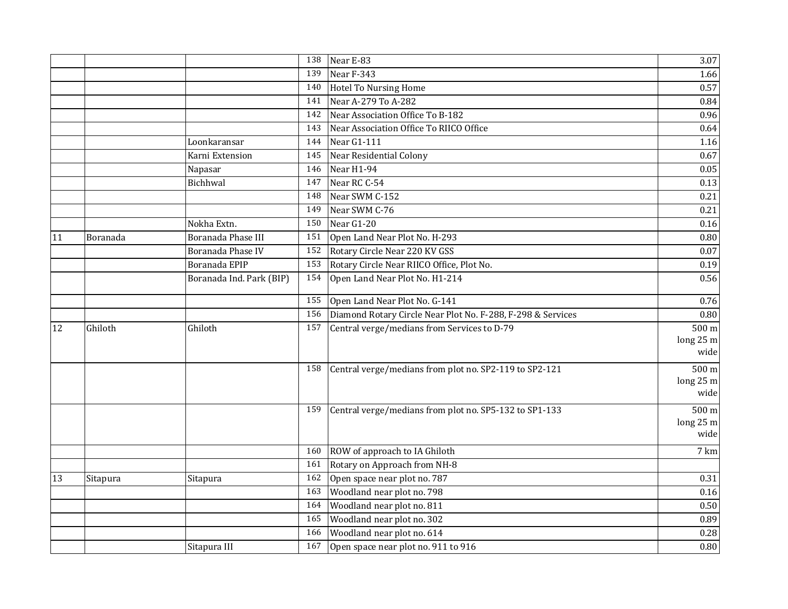| Near E-83<br>3.07<br>138<br>Near F-343<br>139<br>1.66<br><b>Hotel To Nursing Home</b><br>0.57<br>140<br>Near A-279 To A-282<br>141<br>0.84<br>Near Association Office To B-182<br>142<br>0.96<br>Near Association Office To RIICO Office<br>143<br>0.64<br>Near $G1-111$<br>Loonkaransar<br>144<br>1.16<br>Near Residential Colony<br>0.67<br>Karni Extension<br>145<br>146<br>Near H1-94<br>0.05<br>Napasar<br>Near RC C-54<br>Bichhwal<br>147<br>0.13<br>Near SWM C-152<br>148<br>0.21<br>Near SWM C-76<br>149<br>0.21<br>Nokha Extn.<br>150<br>Near G1-20<br>0.16<br>Boranada Phase III<br>151<br>Open Land Near Plot No. H-293<br>0.80<br>11<br>Boranada<br>152<br>Rotary Circle Near 220 KV GSS<br>Boranada Phase IV<br>0.07<br>153 |
|------------------------------------------------------------------------------------------------------------------------------------------------------------------------------------------------------------------------------------------------------------------------------------------------------------------------------------------------------------------------------------------------------------------------------------------------------------------------------------------------------------------------------------------------------------------------------------------------------------------------------------------------------------------------------------------------------------------------------------------|
|                                                                                                                                                                                                                                                                                                                                                                                                                                                                                                                                                                                                                                                                                                                                          |
|                                                                                                                                                                                                                                                                                                                                                                                                                                                                                                                                                                                                                                                                                                                                          |
|                                                                                                                                                                                                                                                                                                                                                                                                                                                                                                                                                                                                                                                                                                                                          |
|                                                                                                                                                                                                                                                                                                                                                                                                                                                                                                                                                                                                                                                                                                                                          |
|                                                                                                                                                                                                                                                                                                                                                                                                                                                                                                                                                                                                                                                                                                                                          |
|                                                                                                                                                                                                                                                                                                                                                                                                                                                                                                                                                                                                                                                                                                                                          |
|                                                                                                                                                                                                                                                                                                                                                                                                                                                                                                                                                                                                                                                                                                                                          |
|                                                                                                                                                                                                                                                                                                                                                                                                                                                                                                                                                                                                                                                                                                                                          |
|                                                                                                                                                                                                                                                                                                                                                                                                                                                                                                                                                                                                                                                                                                                                          |
|                                                                                                                                                                                                                                                                                                                                                                                                                                                                                                                                                                                                                                                                                                                                          |
|                                                                                                                                                                                                                                                                                                                                                                                                                                                                                                                                                                                                                                                                                                                                          |
|                                                                                                                                                                                                                                                                                                                                                                                                                                                                                                                                                                                                                                                                                                                                          |
|                                                                                                                                                                                                                                                                                                                                                                                                                                                                                                                                                                                                                                                                                                                                          |
|                                                                                                                                                                                                                                                                                                                                                                                                                                                                                                                                                                                                                                                                                                                                          |
|                                                                                                                                                                                                                                                                                                                                                                                                                                                                                                                                                                                                                                                                                                                                          |
| Rotary Circle Near RIICO Office, Plot No.<br>Boranada EPIP<br>0.19                                                                                                                                                                                                                                                                                                                                                                                                                                                                                                                                                                                                                                                                       |
| Open Land Near Plot No. H1-214<br>154<br>0.56<br>Boranada Ind. Park (BIP)                                                                                                                                                                                                                                                                                                                                                                                                                                                                                                                                                                                                                                                                |
| 155<br>Open Land Near Plot No. G-141<br>0.76                                                                                                                                                                                                                                                                                                                                                                                                                                                                                                                                                                                                                                                                                             |
| Diamond Rotary Circle Near Plot No. F-288, F-298 & Services<br>156<br>0.80                                                                                                                                                                                                                                                                                                                                                                                                                                                                                                                                                                                                                                                               |
| Central verge/medians from Services to D-79<br>500 m<br>157<br>12<br>Ghiloth<br>Ghiloth                                                                                                                                                                                                                                                                                                                                                                                                                                                                                                                                                                                                                                                  |
| long 25 m                                                                                                                                                                                                                                                                                                                                                                                                                                                                                                                                                                                                                                                                                                                                |
| wide                                                                                                                                                                                                                                                                                                                                                                                                                                                                                                                                                                                                                                                                                                                                     |
| Central verge/medians from plot no. SP2-119 to SP2-121<br>500 m<br>158                                                                                                                                                                                                                                                                                                                                                                                                                                                                                                                                                                                                                                                                   |
| long 25 m                                                                                                                                                                                                                                                                                                                                                                                                                                                                                                                                                                                                                                                                                                                                |
| wide                                                                                                                                                                                                                                                                                                                                                                                                                                                                                                                                                                                                                                                                                                                                     |
| Central verge/medians from plot no. SP5-132 to SP1-133<br>500 m<br>159                                                                                                                                                                                                                                                                                                                                                                                                                                                                                                                                                                                                                                                                   |
| long 25 m                                                                                                                                                                                                                                                                                                                                                                                                                                                                                                                                                                                                                                                                                                                                |
| wide                                                                                                                                                                                                                                                                                                                                                                                                                                                                                                                                                                                                                                                                                                                                     |
| ROW of approach to IA Ghiloth<br>7 km<br>160                                                                                                                                                                                                                                                                                                                                                                                                                                                                                                                                                                                                                                                                                             |
| Rotary on Approach from NH-8<br>161                                                                                                                                                                                                                                                                                                                                                                                                                                                                                                                                                                                                                                                                                                      |
| Open space near plot no. 787<br>162<br>13<br>0.31<br>Sitapura<br>Sitapura                                                                                                                                                                                                                                                                                                                                                                                                                                                                                                                                                                                                                                                                |
| Woodland near plot no. 798<br>163<br>0.16                                                                                                                                                                                                                                                                                                                                                                                                                                                                                                                                                                                                                                                                                                |
| Woodland near plot no. 811<br>164<br>0.50                                                                                                                                                                                                                                                                                                                                                                                                                                                                                                                                                                                                                                                                                                |
| Woodland near plot no. 302<br>165<br>0.89                                                                                                                                                                                                                                                                                                                                                                                                                                                                                                                                                                                                                                                                                                |
| Woodland near plot no. 614<br>0.28<br>166                                                                                                                                                                                                                                                                                                                                                                                                                                                                                                                                                                                                                                                                                                |
| Open space near plot no. 911 to 916<br>$0.80\,$<br>Sitapura III<br>167                                                                                                                                                                                                                                                                                                                                                                                                                                                                                                                                                                                                                                                                   |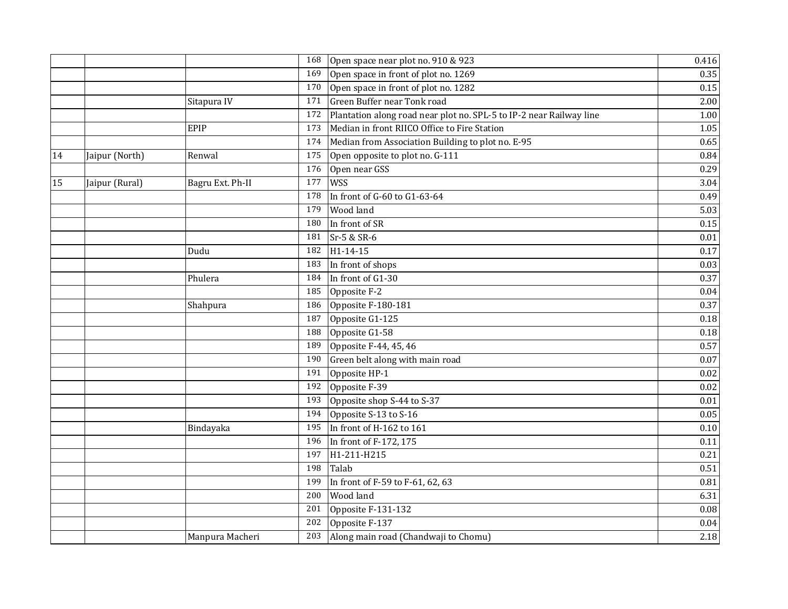|    |                |                  |     | 168 Open space near plot no. 910 & 923                              | 0.416    |
|----|----------------|------------------|-----|---------------------------------------------------------------------|----------|
|    |                |                  | 169 | Open space in front of plot no. 1269                                | 0.35     |
|    |                |                  | 170 | Open space in front of plot no. 1282                                | 0.15     |
|    |                | Sitapura IV      | 171 | Green Buffer near Tonk road                                         | 2.00     |
|    |                |                  | 172 | Plantation along road near plot no. SPL-5 to IP-2 near Railway line | $1.00\,$ |
|    |                | EPIP             | 173 | Median in front RIICO Office to Fire Station                        | 1.05     |
|    |                |                  | 174 | Median from Association Building to plot no. E-95                   | 0.65     |
| 14 | Jaipur (North) | Renwal           | 175 | Open opposite to plot no. G-111                                     | 0.84     |
|    |                |                  | 176 | Open near GSS                                                       | 0.29     |
| 15 | Jaipur (Rural) | Bagru Ext. Ph-II | 177 | <b>WSS</b>                                                          | 3.04     |
|    |                |                  | 178 | In front of G-60 to G1-63-64                                        | 0.49     |
|    |                |                  | 179 | Wood land                                                           | 5.03     |
|    |                |                  | 180 | In front of SR                                                      | 0.15     |
|    |                |                  | 181 | Sr-5 & SR-6                                                         | $0.01\,$ |
|    |                | Dudu             | 182 | H1-14-15                                                            | 0.17     |
|    |                |                  | 183 | In front of shops                                                   | 0.03     |
|    |                | Phulera          | 184 | In front of G1-30                                                   | 0.37     |
|    |                |                  | 185 | Opposite F-2                                                        | $0.04\,$ |
|    |                | Shahpura         | 186 | Opposite F-180-181                                                  | 0.37     |
|    |                |                  | 187 | Opposite G1-125                                                     | 0.18     |
|    |                |                  | 188 | Opposite G1-58                                                      | 0.18     |
|    |                |                  | 189 | Opposite F-44, 45, 46                                               | 0.57     |
|    |                |                  | 190 | Green belt along with main road                                     | 0.07     |
|    |                |                  | 191 | Opposite HP-1                                                       | 0.02     |
|    |                |                  | 192 | Opposite F-39                                                       | 0.02     |
|    |                |                  | 193 | Opposite shop S-44 to S-37                                          | $0.01\,$ |
|    |                |                  | 194 | Opposite S-13 to S-16                                               | 0.05     |
|    |                | Bindayaka        | 195 | In front of H-162 to 161                                            | $0.10\,$ |
|    |                |                  | 196 | In front of F-172, 175                                              | 0.11     |
|    |                |                  | 197 | H1-211-H215                                                         | 0.21     |
|    |                |                  | 198 | Talab                                                               | 0.51     |
|    |                |                  | 199 | In front of F-59 to F-61, 62, 63                                    | 0.81     |
|    |                |                  | 200 | <b>Wood land</b>                                                    | 6.31     |
|    |                |                  | 201 | Opposite F-131-132                                                  | 0.08     |
|    |                |                  | 202 | Opposite F-137                                                      | $0.04\,$ |
|    |                | Manpura Macheri  |     | 203 Along main road (Chandwaji to Chomu)                            | 2.18     |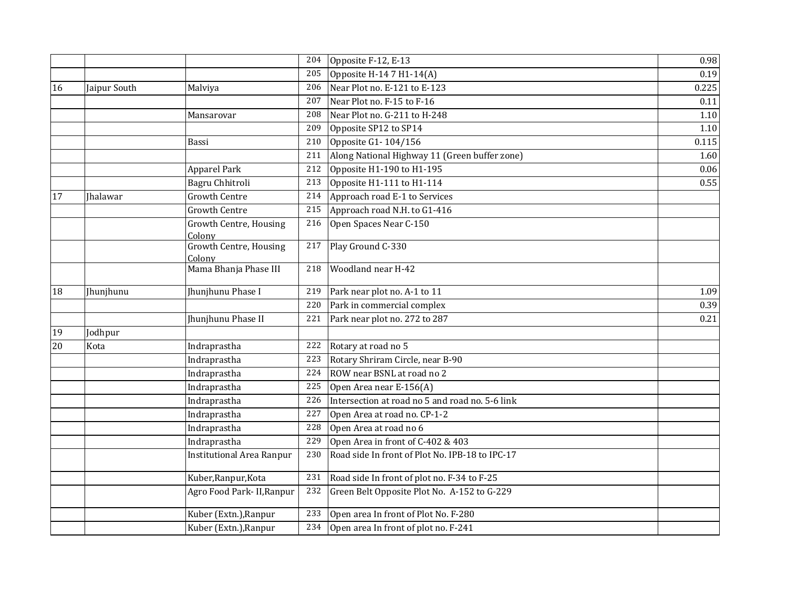|    |                 |                                  | 204 | Opposite F-12, E-13                             | 0.98  |
|----|-----------------|----------------------------------|-----|-------------------------------------------------|-------|
|    |                 |                                  | 205 | Opposite H-14 7 H1-14(A)                        | 0.19  |
| 16 | Jaipur South    | Malviya                          | 206 | Near Plot no. E-121 to E-123                    | 0.225 |
|    |                 |                                  | 207 | Near Plot no. F-15 to F-16                      | 0.11  |
|    |                 | Mansarovar                       | 208 | Near Plot no. G-211 to H-248                    | 1.10  |
|    |                 |                                  | 209 | Opposite SP12 to SP14                           | 1.10  |
|    |                 | Bassi                            | 210 | Opposite G1-104/156                             | 0.115 |
|    |                 |                                  | 211 | Along National Highway 11 (Green buffer zone)   | 1.60  |
|    |                 | <b>Apparel Park</b>              | 212 | Opposite H1-190 to H1-195                       | 0.06  |
|    |                 | Bagru Chhitroli                  | 213 | Opposite H1-111 to H1-114                       | 0.55  |
| 17 | <b>Ihalawar</b> | <b>Growth Centre</b>             | 214 | Approach road E-1 to Services                   |       |
|    |                 | <b>Growth Centre</b>             | 215 | Approach road N.H. to G1-416                    |       |
|    |                 | Growth Centre, Housing<br>Colony | 216 | Open Spaces Near C-150                          |       |
|    |                 | Growth Centre, Housing<br>Colony | 217 | Play Ground C-330                               |       |
|    |                 | Mama Bhanja Phase III            | 218 | Woodland near H-42                              |       |
| 18 | Jhunjhunu       | Jhunjhunu Phase I                | 219 | Park near plot no. A-1 to 11                    | 1.09  |
|    |                 |                                  | 220 | Park in commercial complex                      | 0.39  |
|    |                 | Jhunjhunu Phase II               | 221 | Park near plot no. 272 to 287                   | 0.21  |
| 19 | Jodhpur         |                                  |     |                                                 |       |
| 20 | Kota            | Indraprastha                     | 222 | Rotary at road no 5                             |       |
|    |                 | Indraprastha                     | 223 | Rotary Shriram Circle, near B-90                |       |
|    |                 | Indraprastha                     | 224 | ROW near BSNL at road no 2                      |       |
|    |                 | Indraprastha                     | 225 | Open Area near E-156(A)                         |       |
|    |                 | Indraprastha                     | 226 | Intersection at road no 5 and road no. 5-6 link |       |
|    |                 | Indraprastha                     | 227 | Open Area at road no. CP-1-2                    |       |
|    |                 | Indraprastha                     | 228 | Open Area at road no 6                          |       |
|    |                 | Indraprastha                     | 229 | Open Area in front of C-402 & 403               |       |
|    |                 | <b>Institutional Area Ranpur</b> | 230 | Road side In front of Plot No. IPB-18 to IPC-17 |       |
|    |                 | Kuber, Ranpur, Kota              | 231 | Road side In front of plot no. F-34 to F-25     |       |
|    |                 | Agro Food Park- II, Ranpur       | 232 | Green Belt Opposite Plot No. A-152 to G-229     |       |
|    |                 | Kuber (Extn.), Ranpur            | 233 | Open area In front of Plot No. F-280            |       |
|    |                 | Kuber (Extn.), Ranpur            |     | 234 Open area In front of plot no. F-241        |       |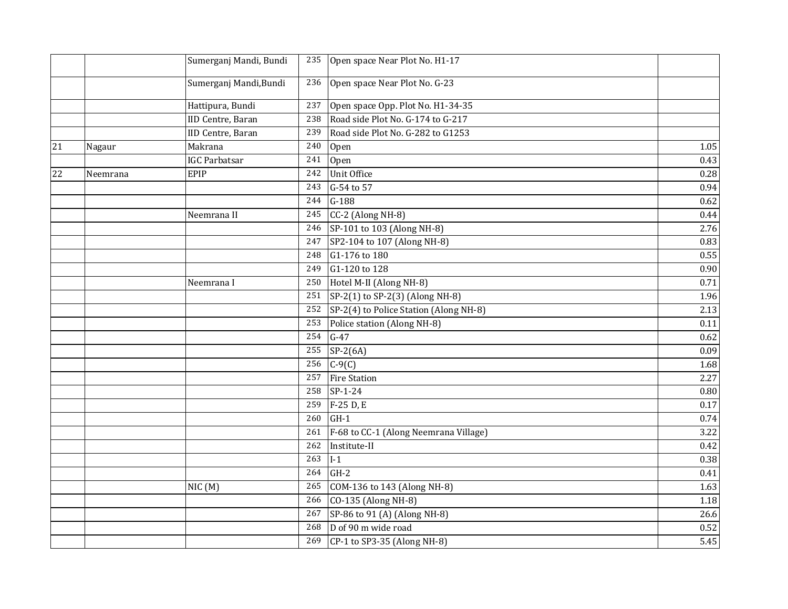|    |          | Sumerganj Mandi, Bundi |     | 235 Open space Near Plot No. H1-17     |          |
|----|----------|------------------------|-----|----------------------------------------|----------|
|    |          | Sumerganj Mandi, Bundi | 236 | Open space Near Plot No. G-23          |          |
|    |          | Hattipura, Bundi       | 237 | Open space Opp. Plot No. H1-34-35      |          |
|    |          | IID Centre, Baran      | 238 | Road side Plot No. G-174 to G-217      |          |
|    |          | IID Centre, Baran      | 239 | Road side Plot No. G-282 to G1253      |          |
| 21 | Nagaur   | Makrana                | 240 | Open                                   | $1.05\,$ |
|    |          | <b>IGC Parbatsar</b>   | 241 | Open                                   | 0.43     |
| 22 | Neemrana | EPIP                   | 242 | Unit Office                            | 0.28     |
|    |          |                        | 243 | G-54 to 57                             | 0.94     |
|    |          |                        | 244 | $G-188$                                | 0.62     |
|    |          | Neemrana II            | 245 | CC-2 (Along NH-8)                      | 0.44     |
|    |          |                        | 246 | SP-101 to 103 (Along NH-8)             | 2.76     |
|    |          |                        | 247 | SP2-104 to 107 (Along NH-8)            | 0.83     |
|    |          |                        | 248 | G1-176 to 180                          | 0.55     |
|    |          |                        | 249 | G1-120 to 128                          | 0.90     |
|    |          | Neemrana I             | 250 | Hotel M-II (Along NH-8)                | 0.71     |
|    |          |                        | 251 | SP-2(1) to SP-2(3) (Along NH-8)        | 1.96     |
|    |          |                        | 252 | SP-2(4) to Police Station (Along NH-8) | 2.13     |
|    |          |                        | 253 | Police station (Along NH-8)            | 0.11     |
|    |          |                        | 254 | $G-47$                                 | 0.62     |
|    |          |                        | 255 | $SP-2(6A)$                             | 0.09     |
|    |          |                        | 256 | $C-9(C)$                               | 1.68     |
|    |          |                        | 257 | <b>Fire Station</b>                    | 2.27     |
|    |          |                        | 258 | $SP-1-24$                              | 0.80     |
|    |          |                        | 259 | F-25 D, E                              | 0.17     |
|    |          |                        | 260 | $GH-1$                                 | 0.74     |
|    |          |                        | 261 | F-68 to CC-1 (Along Neemrana Village)  | 3.22     |
|    |          |                        | 262 | Institute-II                           | 0.42     |
|    |          |                        | 263 | $I-1$                                  | 0.38     |
|    |          |                        | 264 | $GH-2$                                 | 0.41     |
|    |          | NIC(M)                 | 265 | COM-136 to 143 (Along NH-8)            | 1.63     |
|    |          |                        | 266 | CO-135 (Along NH-8)                    | 1.18     |
|    |          |                        | 267 | SP-86 to 91 (A) (Along NH-8)           | 26.6     |
|    |          |                        | 268 | D of 90 m wide road                    | 0.52     |
|    |          |                        |     | 269 CP-1 to SP3-35 (Along NH-8)        | 5.45     |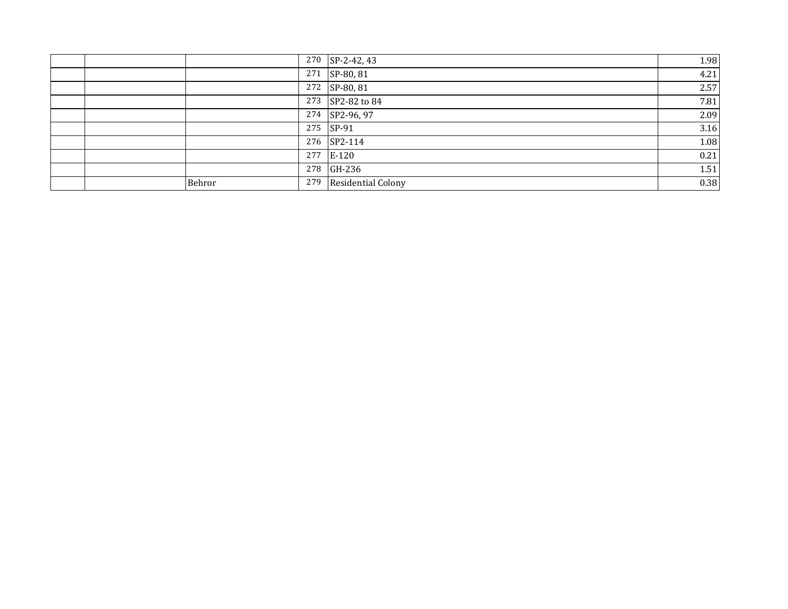|  |        |     | 270 SP-2-42, 43    | 1.98 |
|--|--------|-----|--------------------|------|
|  |        | 271 | SP-80, 81          | 4.21 |
|  |        |     | 272 SP-80, 81      | 2.57 |
|  |        |     | 273 SP2-82 to 84   | 7.81 |
|  |        |     | 274 SP2-96, 97     | 2.09 |
|  |        |     | 275 SP-91          | 3.16 |
|  |        |     | 276 SP2-114        | 1.08 |
|  |        | 277 | $E-120$            | 0.21 |
|  |        |     | 278 GH-236         | 1.51 |
|  | Behror | 279 | Residential Colony | 0.38 |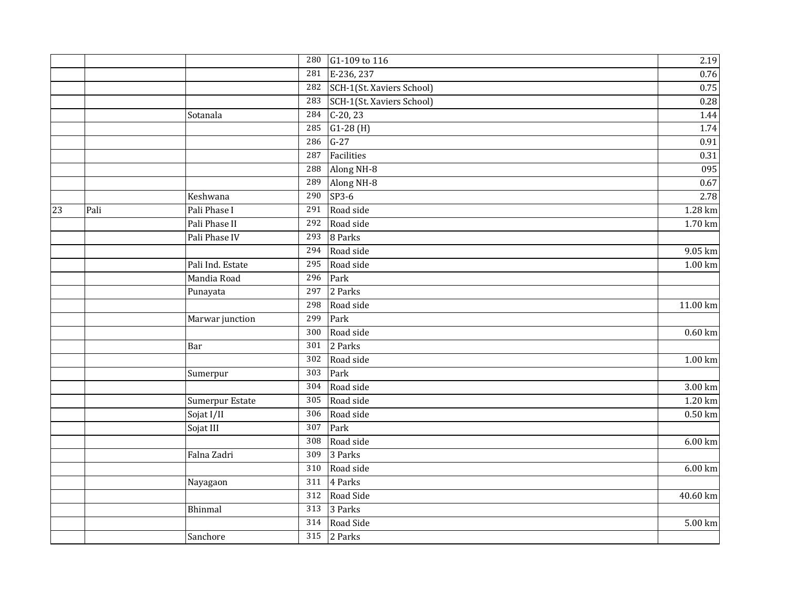|    |      |                  | 280              | G1-109 to 116             | 2.19                 |
|----|------|------------------|------------------|---------------------------|----------------------|
|    |      |                  | 281              | E-236, 237                | 0.76                 |
|    |      |                  | 282              | SCH-1(St. Xaviers School) | 0.75                 |
|    |      |                  | 283              | SCH-1(St. Xaviers School) | 0.28                 |
|    |      | Sotanala         | 284              | $C-20, 23$                | 1.44                 |
|    |      |                  | 285              | $G1-28(H)$                | 1.74                 |
|    |      |                  | 286              | $G-27$                    | 0.91                 |
|    |      |                  | 287              | Facilities                | 0.31                 |
|    |      |                  | 288              | Along NH-8                | 095                  |
|    |      |                  | 289              | Along NH-8                | 0.67                 |
|    |      | Keshwana         | 290              | $SP3-6$                   | 2.78                 |
| 23 | Pali | Pali Phase I     | $\overline{291}$ | Road side                 | 1.28 km              |
|    |      | Pali Phase II    | 292              | Road side                 | 1.70 km              |
|    |      | Pali Phase IV    | 293              | 8 Parks                   |                      |
|    |      |                  | 294              | Road side                 | 9.05 km              |
|    |      | Pali Ind. Estate | 295              | Road side                 | 1.00 km              |
|    |      | Mandia Road      | 296              | Park                      |                      |
|    |      | Punayata         | 297              | 2 Parks                   |                      |
|    |      |                  | 298              | Road side                 | 11.00 km             |
|    |      | Marwar junction  | 299              | Park                      |                      |
|    |      |                  | 300              | Road side                 | $0.60 \mathrm{km}$   |
|    |      | Bar              | 301              | 2 Parks                   |                      |
|    |      |                  | 302              | Road side                 | $\overline{1.00}$ km |
|    |      | Sumerpur         | $\overline{303}$ | Park                      |                      |
|    |      |                  | 304              | Road side                 | 3.00 km              |
|    |      | Sumerpur Estate  | 305              | Road side                 | 1.20 km              |
|    |      | Sojat I/II       | 306              | Road side                 | $0.50$ km            |
|    |      | Sojat III        | 307              | Park                      |                      |
|    |      |                  | 308              | Road side                 | 6.00 km              |
|    |      | Falna Zadri      | 309              | 3 Parks                   |                      |
|    |      |                  | 310              | Road side                 | 6.00 km              |
|    |      | Nayagaon         | 311              | 4 Parks                   |                      |
|    |      |                  | $\overline{312}$ | Road Side                 | 40.60 km             |
|    |      | <b>Bhinmal</b>   | 313              | 3 Parks                   |                      |
|    |      |                  | 314              | Road Side                 | 5.00 km              |
|    |      | Sanchore         | 315              | 2 Parks                   |                      |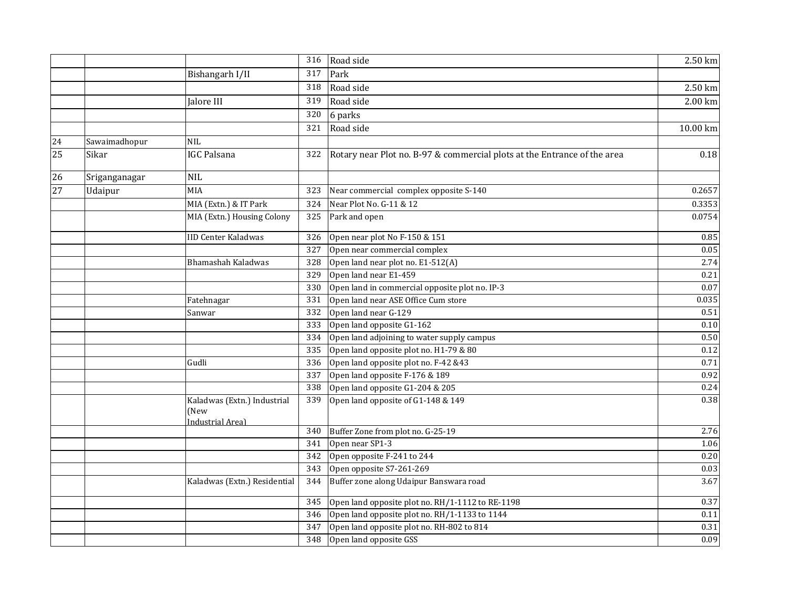|                 |               |                                                         | 316 | Road side                                                                | 2.50 km   |
|-----------------|---------------|---------------------------------------------------------|-----|--------------------------------------------------------------------------|-----------|
|                 |               | Bishangarh I/II                                         | 317 | Park                                                                     |           |
|                 |               |                                                         | 318 | Road side                                                                | 2.50 km   |
|                 |               | Jalore III                                              | 319 | Road side                                                                | $2.00$ km |
|                 |               |                                                         | 320 | 6 parks                                                                  |           |
|                 |               |                                                         | 321 | Road side                                                                | 10.00 km  |
| 24              | Sawaimadhopur | <b>NIL</b>                                              |     |                                                                          |           |
| 25              | Sikar         | <b>IGC Palsana</b>                                      | 322 | Rotary near Plot no. B-97 & commercial plots at the Entrance of the area | 0.18      |
| $\overline{26}$ | Sriganganagar | <b>NIL</b>                                              |     |                                                                          |           |
| 27              | Udaipur       | <b>MIA</b>                                              | 323 | Near commercial complex opposite S-140                                   | 0.2657    |
|                 |               | MIA (Extn.) & IT Park                                   | 324 | Near Plot No. G-11 & 12                                                  | 0.3353    |
|                 |               | MIA (Extn.) Housing Colony                              |     | 325 Park and open                                                        | 0.0754    |
|                 |               | <b>IID Center Kaladwas</b>                              | 326 | Open near plot No F-150 & 151                                            | 0.85      |
|                 |               |                                                         | 327 | Open near commercial complex                                             | 0.05      |
|                 |               | Bhamashah Kaladwas                                      | 328 | Open land near plot no. E1-512(A)                                        | 2.74      |
|                 |               |                                                         | 329 | Open land near E1-459                                                    | 0.21      |
|                 |               |                                                         | 330 | Open land in commercial opposite plot no. IP-3                           | 0.07      |
|                 |               | Fatehnagar                                              | 331 | Open land near ASE Office Cum store                                      | 0.035     |
|                 |               | Sanwar                                                  | 332 | Open land near G-129                                                     | 0.51      |
|                 |               |                                                         | 333 | Open land opposite G1-162                                                | 0.10      |
|                 |               |                                                         | 334 | Open land adjoining to water supply campus                               | $0.50\,$  |
|                 |               |                                                         | 335 | Open land opposite plot no. H1-79 & 80                                   | 0.12      |
|                 |               | Gudli                                                   | 336 | Open land opposite plot no. F-42 &43                                     | 0.71      |
|                 |               |                                                         | 337 | Open land opposite F-176 & 189                                           | 0.92      |
|                 |               |                                                         | 338 | Open land opposite G1-204 & 205                                          | 0.24      |
|                 |               | Kaladwas (Extn.) Industrial<br>(New<br>Industrial Area) | 339 | Open land opposite of G1-148 & 149                                       | 0.38      |
|                 |               |                                                         | 340 | Buffer Zone from plot no. G-25-19                                        | 2.76      |
|                 |               |                                                         | 341 | Open near SP1-3                                                          | 1.06      |
|                 |               |                                                         | 342 | Open opposite F-241 to 244                                               | $0.20\,$  |
|                 |               |                                                         | 343 | Open opposite S7-261-269                                                 | 0.03      |
|                 |               | Kaladwas (Extn.) Residential                            | 344 | Buffer zone along Udaipur Banswara road                                  | 3.67      |
|                 |               |                                                         | 345 | Open land opposite plot no. RH/1-1112 to RE-1198                         | 0.37      |
|                 |               |                                                         | 346 | Open land opposite plot no. RH/1-1133 to 1144                            | $0.11\,$  |
|                 |               |                                                         | 347 | Open land opposite plot no. RH-802 to 814                                | 0.31      |
|                 |               |                                                         | 348 | Open land opposite GSS                                                   | 0.09      |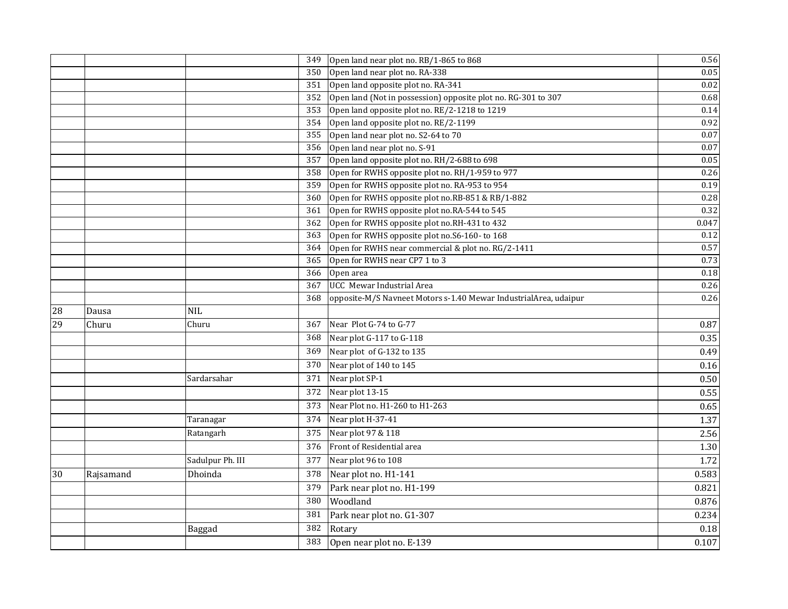|    |           |                  | 349 | Open land near plot no. RB/1-865 to 868                          | 0.56  |
|----|-----------|------------------|-----|------------------------------------------------------------------|-------|
|    |           |                  | 350 | Open land near plot no. RA-338                                   | 0.05  |
|    |           |                  | 351 | Open land opposite plot no. RA-341                               | 0.02  |
|    |           |                  | 352 | Open land (Not in possession) opposite plot no. RG-301 to 307    | 0.68  |
|    |           |                  | 353 | Open land opposite plot no. RE/2-1218 to 1219                    | 0.14  |
|    |           |                  | 354 | Open land opposite plot no. RE/2-1199                            | 0.92  |
|    |           |                  | 355 | Open land near plot no. S2-64 to 70                              | 0.07  |
|    |           |                  | 356 | Open land near plot no. S-91                                     | 0.07  |
|    |           |                  | 357 | Open land opposite plot no. RH/2-688 to 698                      | 0.05  |
|    |           |                  | 358 | Open for RWHS opposite plot no. RH/1-959 to 977                  | 0.26  |
|    |           |                  | 359 | Open for RWHS opposite plot no. RA-953 to 954                    | 0.19  |
|    |           |                  | 360 | Open for RWHS opposite plot no.RB-851 & RB/1-882                 | 0.28  |
|    |           |                  | 361 | Open for RWHS opposite plot no.RA-544 to 545                     | 0.32  |
|    |           |                  | 362 | Open for RWHS opposite plot no.RH-431 to 432                     | 0.047 |
|    |           |                  | 363 | Open for RWHS opposite plot no.S6-160- to 168                    | 0.12  |
|    |           |                  | 364 | Open for RWHS near commercial & plot no. RG/2-1411               | 0.57  |
|    |           |                  | 365 | Open for RWHS near CP7 1 to 3                                    | 0.73  |
|    |           |                  | 366 | Open area                                                        | 0.18  |
|    |           |                  | 367 | UCC Mewar Industrial Area                                        | 0.26  |
|    |           |                  | 368 | opposite-M/S Navneet Motors s-1.40 Mewar IndustrialArea, udaipur | 0.26  |
| 28 | Dausa     | <b>NIL</b>       |     |                                                                  |       |
| 29 | Churu     | Churu            | 367 | Near Plot G-74 to G-77                                           | 0.87  |
|    |           |                  | 368 | Near plot G-117 to G-118                                         | 0.35  |
|    |           |                  | 369 | Near plot of G-132 to 135                                        | 0.49  |
|    |           |                  |     | 370 Near plot of 140 to 145                                      | 0.16  |
|    |           | Sardarsahar      | 371 | Near plot SP-1                                                   | 0.50  |
|    |           |                  | 372 | Near plot 13-15                                                  | 0.55  |
|    |           |                  | 373 | Near Plot no. H1-260 to H1-263                                   | 0.65  |
|    |           | Taranagar        | 374 | Near plot H-37-41                                                | 1.37  |
|    |           | Ratangarh        | 375 | Near plot 97 & 118                                               | 2.56  |
|    |           |                  | 376 | Front of Residential area                                        | 1.30  |
|    |           | Sadulpur Ph. III | 377 | Near plot 96 to 108                                              | 1.72  |
| 30 | Rajsamand | Dhoinda          | 378 | Near plot no. H1-141                                             | 0.583 |
|    |           |                  | 379 | Park near plot no. H1-199                                        | 0.821 |
|    |           |                  | 380 | Woodland                                                         | 0.876 |
|    |           |                  | 381 | Park near plot no. G1-307                                        | 0.234 |
|    |           | Baggad           | 382 | Rotary                                                           | 0.18  |
|    |           |                  | 383 | Open near plot no. E-139                                         | 0.107 |